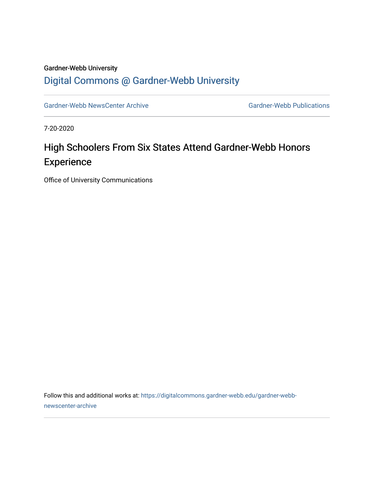#### Gardner-Webb University

### [Digital Commons @ Gardner-Webb University](https://digitalcommons.gardner-webb.edu/)

[Gardner-Webb NewsCenter Archive](https://digitalcommons.gardner-webb.edu/gardner-webb-newscenter-archive) Gardner-Webb Publications

7-20-2020

# High Schoolers From Six States Attend Gardner-Webb Honors **Experience**

Office of University Communications

Follow this and additional works at: [https://digitalcommons.gardner-webb.edu/gardner-webb](https://digitalcommons.gardner-webb.edu/gardner-webb-newscenter-archive?utm_source=digitalcommons.gardner-webb.edu%2Fgardner-webb-newscenter-archive%2F12&utm_medium=PDF&utm_campaign=PDFCoverPages)[newscenter-archive](https://digitalcommons.gardner-webb.edu/gardner-webb-newscenter-archive?utm_source=digitalcommons.gardner-webb.edu%2Fgardner-webb-newscenter-archive%2F12&utm_medium=PDF&utm_campaign=PDFCoverPages)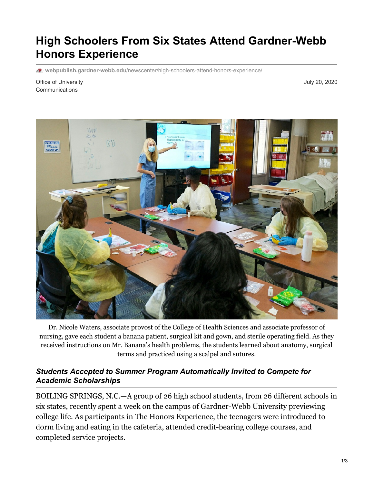# **High Schoolers From Six States Attend Gardner-Webb Honors Experience**

**webpublish.gardner-webb.edu**[/newscenter/high-schoolers-attend-honors-experience/](https://webpublish.gardner-webb.edu/newscenter/high-schoolers-attend-honors-experience/)

Office of University Communications

July 20, 2020



Dr. Nicole Waters, associate provost of the College of Health Sciences and associate professor of nursing, gave each student a banana patient, surgical kit and gown, and sterile operating field. As they received instructions on Mr. Banana's health problems, the students learned about anatomy, surgical terms and practiced using a scalpel and sutures.

#### *Students Accepted to Summer Program Automatically Invited to Compete for Academic Scholarships*

BOILING SPRINGS, N.C.—A group of 26 high school students, from 26 different schools in six states, recently spent a week on the campus of Gardner-Webb University previewing college life. As participants in The Honors Experience, the teenagers were introduced to dorm living and eating in the cafeteria, attended credit-bearing college courses, and completed service projects.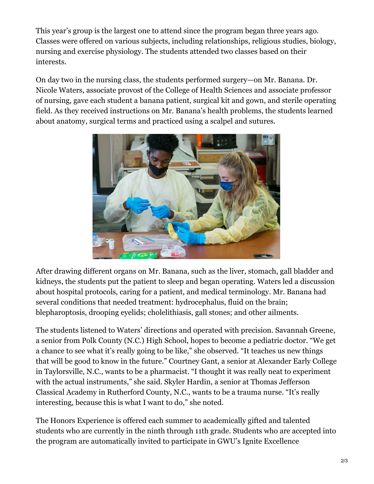This year's group is the largest one to attend since the program began three years ago. Classes were offered on various subjects, including relationships, religious studies, biology, nursing and exercise physiology. The students attended two classes based on their interests.

On day two in the nursing class, the students performed surgery—on Mr. Banana. Dr. Nicole Waters, associate provost of the College of Health Sciences and associate professor of nursing, gave each student a banana patient, surgical kit and gown, and sterile operating field. As they received instructions on Mr. Banana's health problems, the students learned about anatomy, surgical terms and practiced using a scalpel and sutures.



After drawing different organs on Mr. Banana, such as the liver, stomach, gall bladder and kidneys, the students put the patient to sleep and began operating. Waters led a discussion about hospital protocols, caring for a patient, and medical terminology. Mr. Banana had several conditions that needed treatment: hydrocephalus, fluid on the brain; blepharoptosis, drooping eyelids; cholelithiasis, gall stones; and other ailments.

The students listened to Waters' directions and operated with precision. Savannah Greene, a senior from Polk County (N.C.) High School, hopes to become a pediatric doctor. "We get a chance to see what it's really going to be like," she observed. "It teaches us new things that will be good to know in the future." Courtney Gant, a senior at Alexander Early College in Taylorsville, N.C., wants to be a pharmacist. "I thought it was really neat to experiment with the actual instruments," she said. Skyler Hardin, a senior at Thomas Jefferson Classical Academy in Rutherford County, N.C., wants to be a trauma nurse. "It's really interesting, because this is what I want to do," she noted.

The Honors Experience is offered each summer to academically gifted and talented students who are currently in the ninth through 11th grade. Students who are accepted into the program are automatically invited to participate in GWU's Ignite Excellence